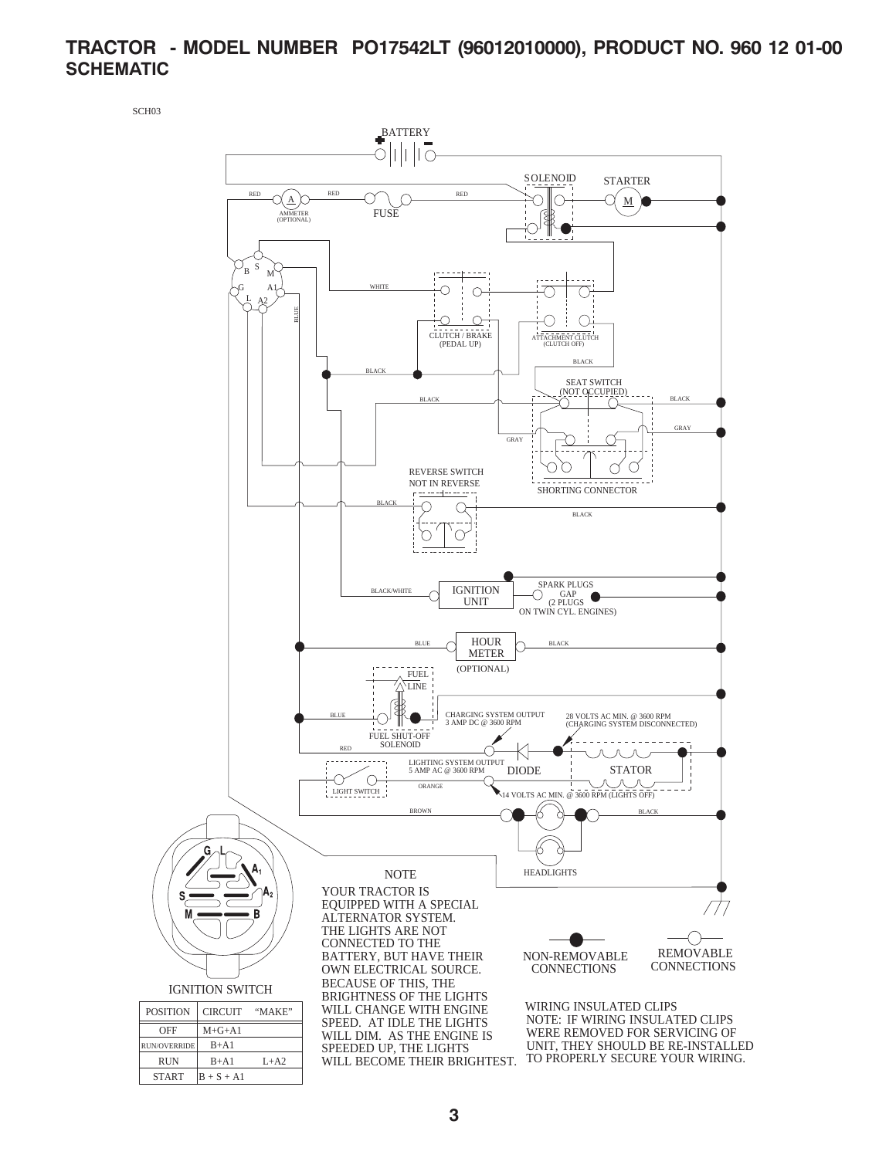## **TRACTOR - MODEL NUMBER PO17542LT (96012010000), PRODUCT NO. 960 12 01-00 SCHEMATIC**

SCH03

 $START$   $B + S + A1$